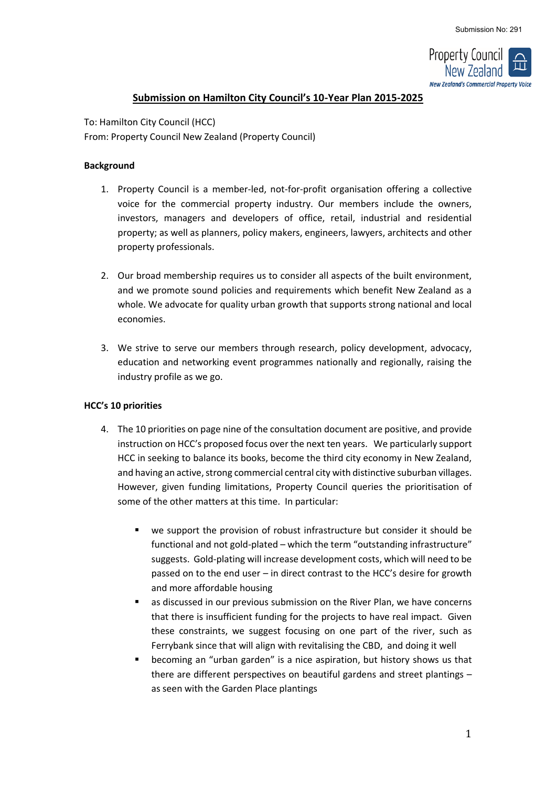

# **Submission on Hamilton City Council's 10-Year Plan 2015-2025**

To: Hamilton City Council (HCC) From: Property Council New Zealand (Property Council)

#### **Background**

- 1. Property Council is a member-led, not-for-profit organisation offering a collective voice for the commercial property industry. Our members include the owners, investors, managers and developers of office, retail, industrial and residential property; as well as planners, policy makers, engineers, lawyers, architects and other property professionals.
- 2. Our broad membership requires us to consider all aspects of the built environment, and we promote sound policies and requirements which benefit New Zealand as a whole. We advocate for quality urban growth that supports strong national and local economies.
- 3. We strive to serve our members through research, policy development, advocacy, education and networking event programmes nationally and regionally, raising the industry profile as we go.

# **HCC's 10 priorities**

- 4. The 10 priorities on page nine of the consultation document are positive, and provide instruction on HCC's proposed focus over the next ten years. We particularly support HCC in seeking to balance its books, become the third city economy in New Zealand, and having an active, strong commercial central city with distinctive suburban villages. However, given funding limitations, Property Council queries the prioritisation of some of the other matters at this time. In particular:
	- we support the provision of robust infrastructure but consider it should be functional and not gold-plated – which the term "outstanding infrastructure" suggests. Gold-plating will increase development costs, which will need to be passed on to the end user – in direct contrast to the HCC's desire for growth and more affordable housing
	- as discussed in our previous submission on the River Plan, we have concerns that there is insufficient funding for the projects to have real impact. Given these constraints, we suggest focusing on one part of the river, such as Ferrybank since that will align with revitalising the CBD, and doing it well
	- becoming an "urban garden" is a nice aspiration, but history shows us that there are different perspectives on beautiful gardens and street plantings – as seen with the Garden Place plantings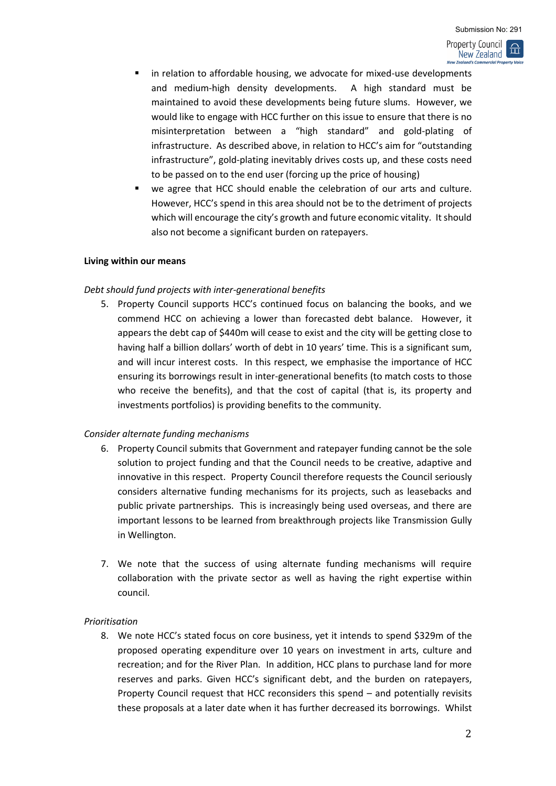New Zealand

- in relation to affordable housing, we advocate for mixed-use developments and medium-high density developments. A high standard must be maintained to avoid these developments being future slums. However, we would like to engage with HCC further on this issue to ensure that there is no misinterpretation between a "high standard" and gold-plating of infrastructure. As described above, in relation to HCC's aim for "outstanding infrastructure", gold-plating inevitably drives costs up, and these costs need to be passed on to the end user (forcing up the price of housing)
- we agree that HCC should enable the celebration of our arts and culture. However, HCC's spend in this area should not be to the detriment of projects which will encourage the city's growth and future economic vitality. It should also not become a significant burden on ratepayers.

## **Living within our means**

## *Debt should fund projects with inter-generational benefits*

5. Property Council supports HCC's continued focus on balancing the books, and we commend HCC on achieving a lower than forecasted debt balance. However, it appears the debt cap of \$440m will cease to exist and the city will be getting close to having half a billion dollars' worth of debt in 10 years' time. This is a significant sum, and will incur interest costs. In this respect, we emphasise the importance of HCC ensuring its borrowings result in inter-generational benefits (to match costs to those who receive the benefits), and that the cost of capital (that is, its property and investments portfolios) is providing benefits to the community.

# *Consider alternate funding mechanisms*

- 6. Property Council submits that Government and ratepayer funding cannot be the sole solution to project funding and that the Council needs to be creative, adaptive and innovative in this respect. Property Council therefore requests the Council seriously considers alternative funding mechanisms for its projects, such as leasebacks and public private partnerships. This is increasingly being used overseas, and there are important lessons to be learned from breakthrough projects like Transmission Gully in Wellington.
- 7. We note that the success of using alternate funding mechanisms will require collaboration with the private sector as well as having the right expertise within council.

#### *Prioritisation*

8. We note HCC's stated focus on core business, yet it intends to spend \$329m of the proposed operating expenditure over 10 years on investment in arts, culture and recreation; and for the River Plan. In addition, HCC plans to purchase land for more reserves and parks. Given HCC's significant debt, and the burden on ratepayers, Property Council request that HCC reconsiders this spend – and potentially revisits these proposals at a later date when it has further decreased its borrowings. Whilst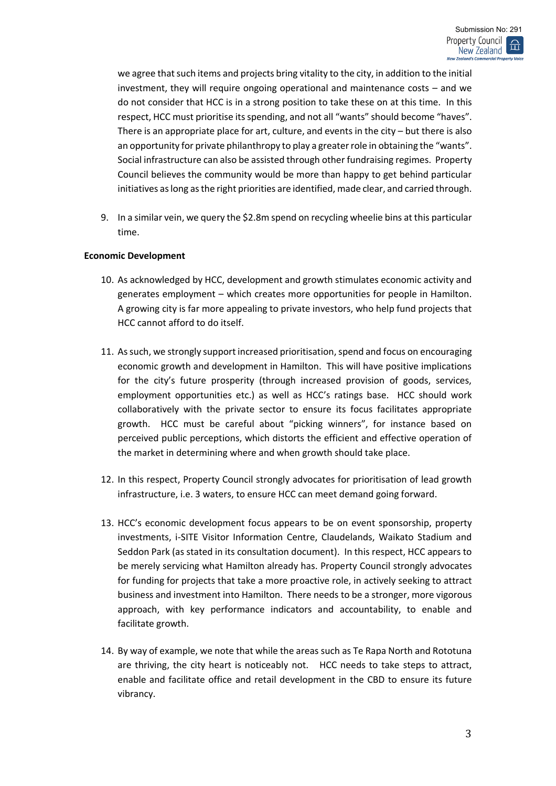we agree that such items and projects bring vitality to the city, in addition to the initial investment, they will require ongoing operational and maintenance costs – and we do not consider that HCC is in a strong position to take these on at this time. In this respect, HCC must prioritise its spending, and not all "wants" should become "haves". There is an appropriate place for art, culture, and events in the city – but there is also an opportunity for private philanthropy to play a greater role in obtaining the "wants". Social infrastructure can also be assisted through other fundraising regimes. Property Council believes the community would be more than happy to get behind particular initiatives as long as the right priorities are identified, made clear, and carried through.

9. In a similar vein, we query the \$2.8m spend on recycling wheelie bins at this particular time.

## **Economic Development**

- 10. As acknowledged by HCC, development and growth stimulates economic activity and generates employment – which creates more opportunities for people in Hamilton. A growing city is far more appealing to private investors, who help fund projects that HCC cannot afford to do itself.
- 11. As such, we strongly support increased prioritisation, spend and focus on encouraging economic growth and development in Hamilton. This will have positive implications for the city's future prosperity (through increased provision of goods, services, employment opportunities etc.) as well as HCC's ratings base. HCC should work collaboratively with the private sector to ensure its focus facilitates appropriate growth. HCC must be careful about "picking winners", for instance based on perceived public perceptions, which distorts the efficient and effective operation of the market in determining where and when growth should take place.
- 12. In this respect, Property Council strongly advocates for prioritisation of lead growth infrastructure, i.e. 3 waters, to ensure HCC can meet demand going forward.
- 13. HCC's economic development focus appears to be on event sponsorship, property investments, i-SITE Visitor Information Centre, Claudelands, Waikato Stadium and Seddon Park (as stated in its consultation document). In this respect, HCC appears to be merely servicing what Hamilton already has. Property Council strongly advocates for funding for projects that take a more proactive role, in actively seeking to attract business and investment into Hamilton. There needs to be a stronger, more vigorous approach, with key performance indicators and accountability, to enable and facilitate growth.
- 14. By way of example, we note that while the areas such as Te Rapa North and Rototuna are thriving, the city heart is noticeably not. HCC needs to take steps to attract, enable and facilitate office and retail development in the CBD to ensure its future vibrancy.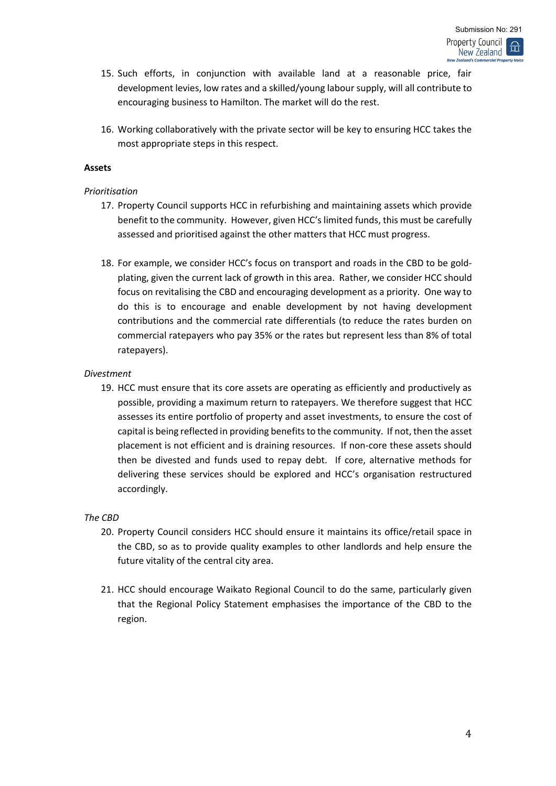- 15. Such efforts, in conjunction with available land at a reasonable price, fair development levies, low rates and a skilled/young labour supply, will all contribute to encouraging business to Hamilton. The market will do the rest.
- 16. Working collaboratively with the private sector will be key to ensuring HCC takes the most appropriate steps in this respect.

## **Assets**

## *Prioritisation*

- 17. Property Council supports HCC in refurbishing and maintaining assets which provide benefit to the community. However, given HCC's limited funds, this must be carefully assessed and prioritised against the other matters that HCC must progress.
- 18. For example, we consider HCC's focus on transport and roads in the CBD to be goldplating, given the current lack of growth in this area. Rather, we consider HCC should focus on revitalising the CBD and encouraging development as a priority. One way to do this is to encourage and enable development by not having development contributions and the commercial rate differentials (to reduce the rates burden on commercial ratepayers who pay 35% or the rates but represent less than 8% of total ratepayers).

## *Divestment*

19. HCC must ensure that its core assets are operating as efficiently and productively as possible, providing a maximum return to ratepayers. We therefore suggest that HCC assesses its entire portfolio of property and asset investments, to ensure the cost of capital is being reflected in providing benefits to the community. If not, then the asset placement is not efficient and is draining resources. If non-core these assets should then be divested and funds used to repay debt. If core, alternative methods for delivering these services should be explored and HCC's organisation restructured accordingly.

# *The CBD*

- 20. Property Council considers HCC should ensure it maintains its office/retail space in the CBD, so as to provide quality examples to other landlords and help ensure the future vitality of the central city area.
- 21. HCC should encourage Waikato Regional Council to do the same, particularly given that the Regional Policy Statement emphasises the importance of the CBD to the region.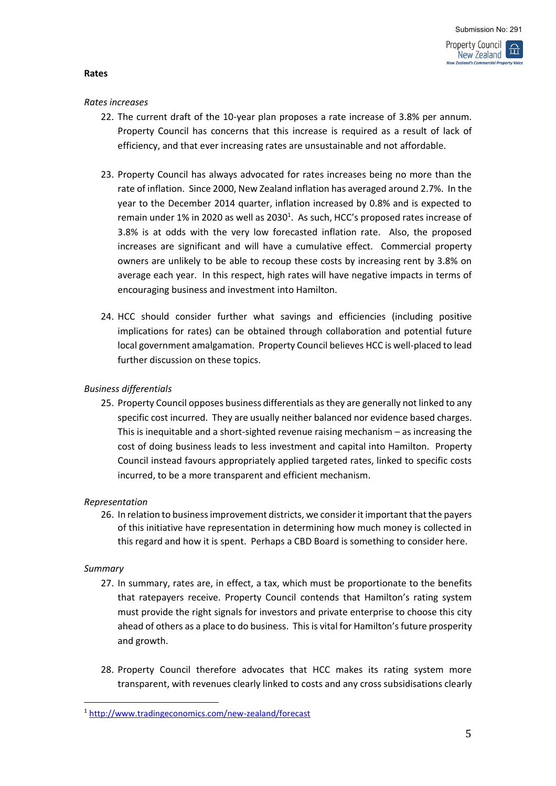## **Rates**

## *Rates increases*

- 22. The current draft of the 10-year plan proposes a rate increase of 3.8% per annum. Property Council has concerns that this increase is required as a result of lack of efficiency, and that ever increasing rates are unsustainable and not affordable.
- 23. Property Council has always advocated for rates increases being no more than the rate of inflation. Since 2000, New Zealand inflation has averaged around 2.7%. In the year to the December 2014 quarter, inflation increased by 0.8% and is expected to remain under 1% in 2020 as well as 2030<sup>1</sup>. As such, HCC's proposed rates increase of 3.8% is at odds with the very low forecasted inflation rate. Also, the proposed increases are significant and will have a cumulative effect. Commercial property owners are unlikely to be able to recoup these costs by increasing rent by 3.8% on average each year. In this respect, high rates will have negative impacts in terms of encouraging business and investment into Hamilton.
- 24. HCC should consider further what savings and efficiencies (including positive implications for rates) can be obtained through collaboration and potential future local government amalgamation. Property Council believes HCC is well-placed to lead further discussion on these topics.

# *Business differentials*

25. Property Council opposes business differentials as they are generally not linked to any specific cost incurred. They are usually neither balanced nor evidence based charges. This is inequitable and a short-sighted revenue raising mechanism – as increasing the cost of doing business leads to less investment and capital into Hamilton. Property Council instead favours appropriately applied targeted rates, linked to specific costs incurred, to be a more transparent and efficient mechanism.

# *Representation*

26. In relation to business improvement districts, we consider it important that the payers of this initiative have representation in determining how much money is collected in this regard and how it is spent. Perhaps a CBD Board is something to consider here.

#### *Summary*

- 27. In summary, rates are, in effect, a tax, which must be proportionate to the benefits that ratepayers receive. Property Council contends that Hamilton's rating system must provide the right signals for investors and private enterprise to choose this city ahead of others as a place to do business. This is vital for Hamilton's future prosperity and growth.
- 28. Property Council therefore advocates that HCC makes its rating system more transparent, with revenues clearly linked to costs and any cross subsidisations clearly

<sup>1</sup> <http://www.tradingeconomics.com/new-zealand/forecast>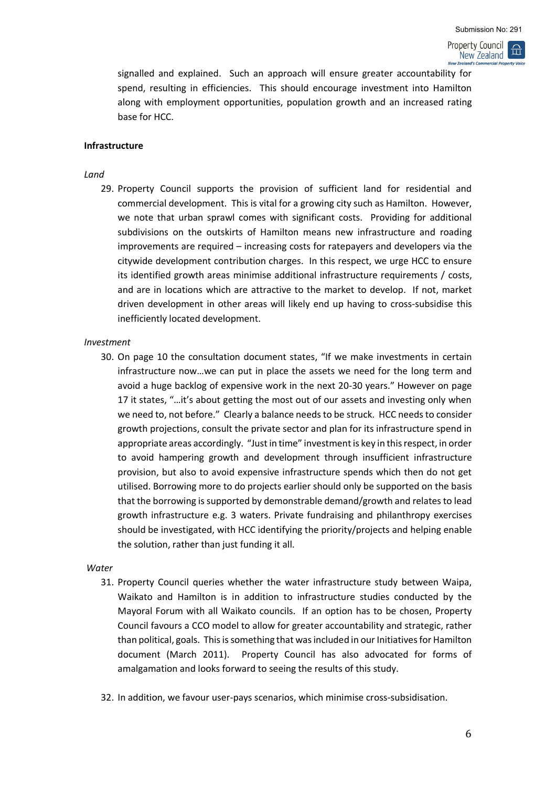#### Property Council 峃 New Zealand **cial Property Voice**

signalled and explained. Such an approach will ensure greater accountability for spend, resulting in efficiencies. This should encourage investment into Hamilton along with employment opportunities, population growth and an increased rating base for HCC.

#### **Infrastructure**

#### *Land*

29. Property Council supports the provision of sufficient land for residential and commercial development. This is vital for a growing city such as Hamilton. However, we note that urban sprawl comes with significant costs. Providing for additional subdivisions on the outskirts of Hamilton means new infrastructure and roading improvements are required – increasing costs for ratepayers and developers via the citywide development contribution charges. In this respect, we urge HCC to ensure its identified growth areas minimise additional infrastructure requirements / costs, and are in locations which are attractive to the market to develop. If not, market driven development in other areas will likely end up having to cross-subsidise this inefficiently located development.

#### *Investment*

30. On page 10 the consultation document states, "If we make investments in certain infrastructure now…we can put in place the assets we need for the long term and avoid a huge backlog of expensive work in the next 20-30 years." However on page 17 it states, "…it's about getting the most out of our assets and investing only when we need to, not before." Clearly a balance needs to be struck. HCC needs to consider growth projections, consult the private sector and plan for its infrastructure spend in appropriate areas accordingly. "Just in time" investment is key in this respect, in order to avoid hampering growth and development through insufficient infrastructure provision, but also to avoid expensive infrastructure spends which then do not get utilised. Borrowing more to do projects earlier should only be supported on the basis that the borrowing is supported by demonstrable demand/growth and relates to lead growth infrastructure e.g. 3 waters. Private fundraising and philanthropy exercises should be investigated, with HCC identifying the priority/projects and helping enable the solution, rather than just funding it all.

#### *Water*

- 31. Property Council queries whether the water infrastructure study between Waipa, Waikato and Hamilton is in addition to infrastructure studies conducted by the Mayoral Forum with all Waikato councils. If an option has to be chosen, Property Council favours a CCO model to allow for greater accountability and strategic, rather than political, goals. This is something that was included in our Initiatives for Hamilton document (March 2011). Property Council has also advocated for forms of amalgamation and looks forward to seeing the results of this study.
- 32. In addition, we favour user-pays scenarios, which minimise cross-subsidisation.